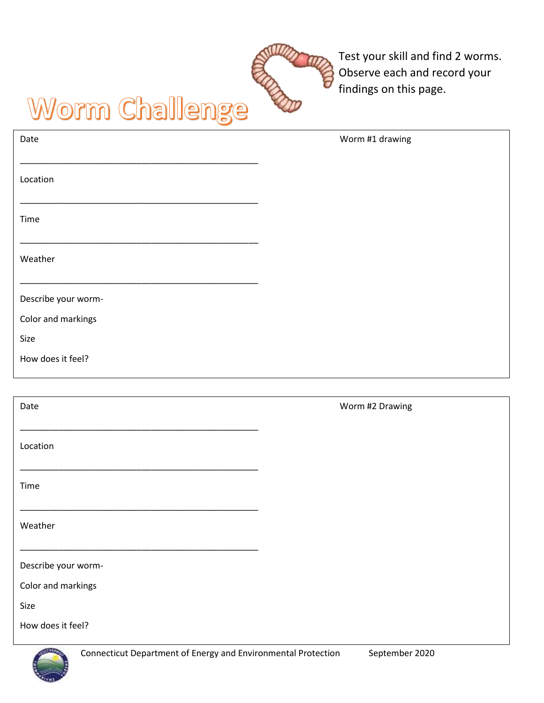

Test your skill and find 2 worms. Observe each and record your findings on this page.

## Worm Challenge

| Date                | Worm #1 drawing |
|---------------------|-----------------|
| Location            |                 |
| Time                |                 |
| Weather             |                 |
| Describe your worm- |                 |
| Color and markings  |                 |
| Size                |                 |
| How does it feel?   |                 |
|                     |                 |
| Date                | Worm #2 Drawing |
| Location            |                 |
| Time                |                 |
| Weather             |                 |
|                     |                 |
| Describe your worm- |                 |
| Color and markings  |                 |

How does it feel?

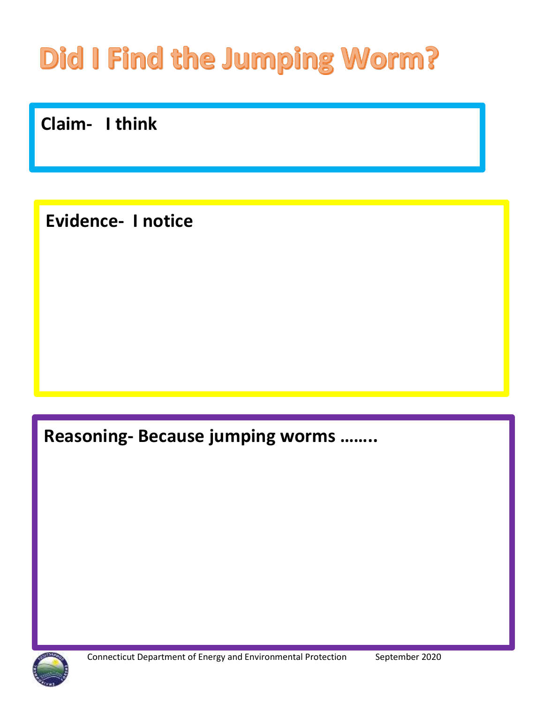# Did I Find the Jumping Worm?

Claim- I think

**Evidence- Inotice** 

Reasoning- Because jumping worms .......

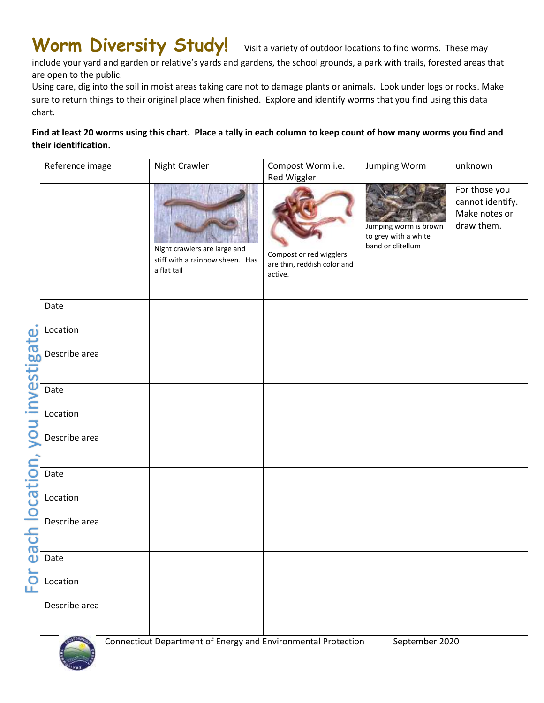### Worm Diversity Study! Visit a variety of outdoor locations to find worms. These may

include your yard and garden or relative's yards and gardens, the school grounds, a park with trails, forested areas that are open to the public.

Using care, dig into the soil in moist areas taking care not to damage plants or animals. Look under logs or rocks. Make sure to return things to their original place when finished. Explore and identify worms that you find using this data chart.

#### **Find at least 20 worms using this chart. Place a tally in each column to keep count of how many worms you find and their identification.**

|                                                  | Reference image   | Night Crawler                                                                  | Compost Worm i.e.<br>Red Wiggler                                  | <b>Jumping Worm</b>                                                | unknown                                                          |
|--------------------------------------------------|-------------------|--------------------------------------------------------------------------------|-------------------------------------------------------------------|--------------------------------------------------------------------|------------------------------------------------------------------|
| vou investigate.<br>ach location,<br>$\mathbf 0$ |                   | Night crawlers are large and<br>stiff with a rainbow sheen. Has<br>a flat tail | Compost or red wigglers<br>are thin, reddish color and<br>active. | Jumping worm is brown<br>to grey with a white<br>band or clitellum | For those you<br>cannot identify.<br>Make notes or<br>draw them. |
|                                                  | Date              |                                                                                |                                                                   |                                                                    |                                                                  |
|                                                  | Location          |                                                                                |                                                                   |                                                                    |                                                                  |
|                                                  | Describe area     |                                                                                |                                                                   |                                                                    |                                                                  |
|                                                  | Date              |                                                                                |                                                                   |                                                                    |                                                                  |
|                                                  | Location          |                                                                                |                                                                   |                                                                    |                                                                  |
|                                                  | Describe area     |                                                                                |                                                                   |                                                                    |                                                                  |
|                                                  |                   |                                                                                |                                                                   |                                                                    |                                                                  |
|                                                  | Date              |                                                                                |                                                                   |                                                                    |                                                                  |
|                                                  | Location          |                                                                                |                                                                   |                                                                    |                                                                  |
|                                                  | Describe area     |                                                                                |                                                                   |                                                                    |                                                                  |
|                                                  | Date              |                                                                                |                                                                   |                                                                    |                                                                  |
| For                                              | Location          |                                                                                |                                                                   |                                                                    |                                                                  |
|                                                  | Describe area     |                                                                                |                                                                   |                                                                    |                                                                  |
|                                                  | <b>CONTRACTOR</b> | Connecticut Department of Energy and Environmental Protection                  |                                                                   | September 2020                                                     |                                                                  |